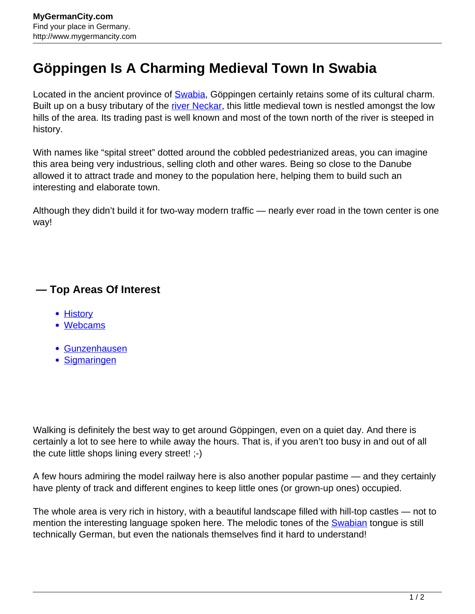## **Göppingen Is A Charming Medieval Town In Swabia**

Located in the ancient province of [Swabia,](http://www.mygermancity.com/swabia) Göppingen certainly retains some of its cultural charm. Built up on a busy tributary of the [river Neckar,](http://www.mygermancity.com/neckar) this little medieval town is nestled amongst the low hills of the area. Its trading past is well known and most of the town north of the river is steeped in history.

With names like "spital street" dotted around the cobbled pedestrianized areas, you can imagine this area being very industrious, selling cloth and other wares. Being so close to the Danube allowed it to attract trade and money to the population here, helping them to build such an interesting and elaborate town.

Although they didn't build it for two-way modern traffic — nearly ever road in the town center is one way!

## **— Top Areas Of Interest**

- **[History](http://www.mygermancity.com/leipzig-history)**
- [Webcams](http://www.mygermancity.com/neustadt-holstein-webcams)
- [Gunzenhausen](http://www.mygermancity.com/gunzenhausen)
- [Sigmaringen](http://www.mygermancity.com/sigmaringen)

Walking is definitely the best way to get around Göppingen, even on a quiet day. And there is certainly a lot to see here to while away the hours. That is, if you aren't too busy in and out of all the cute little shops lining every street! ;-)

A few hours admiring the model railway here is also another popular pastime — and they certainly have plenty of track and different engines to keep little ones (or grown-up ones) occupied.

The whole area is very rich in history, with a beautiful landscape filled with hill-top castles — not to mention the interesting language spoken here. The melodic tones of the **Swabian** tongue is still technically German, but even the nationals themselves find it hard to understand!